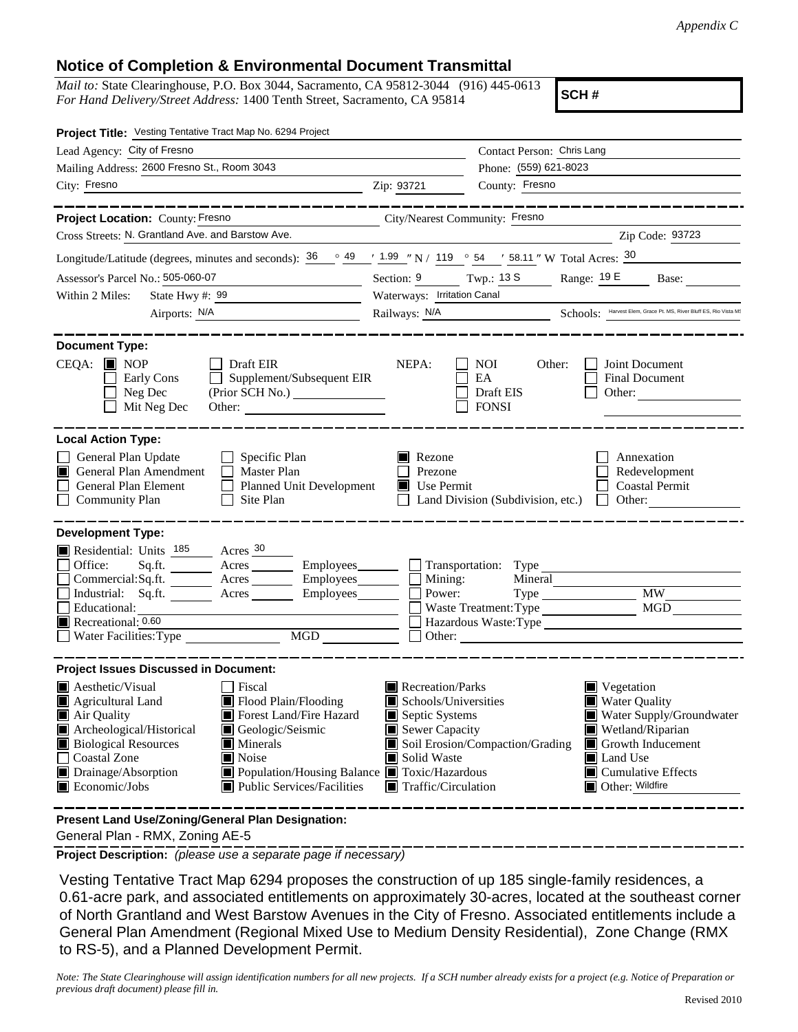## **Notice of Completion & Environmental Document Transmittal**

*Mail to:* State Clearinghouse, P.O. Box 3044, Sacramento, CA 95812-3044 (916) 445-0613 *For Hand Delivery/Street Address:* 1400 Tenth Street, Sacramento, CA 95814

**SCH #**

| Project Title: Vesting Tentative Tract Map No. 6294 Project                                                                                                                                                                                                                                                                                                                                                                                                                                     |                                                                                                                                                                                                                                                                                                                                                                      |  |  |  |  |
|-------------------------------------------------------------------------------------------------------------------------------------------------------------------------------------------------------------------------------------------------------------------------------------------------------------------------------------------------------------------------------------------------------------------------------------------------------------------------------------------------|----------------------------------------------------------------------------------------------------------------------------------------------------------------------------------------------------------------------------------------------------------------------------------------------------------------------------------------------------------------------|--|--|--|--|
| Lead Agency: City of Fresno                                                                                                                                                                                                                                                                                                                                                                                                                                                                     | Contact Person: Chris Lang                                                                                                                                                                                                                                                                                                                                           |  |  |  |  |
| Mailing Address: 2600 Fresno St., Room 3043                                                                                                                                                                                                                                                                                                                                                                                                                                                     | Phone: (559) 621-8023                                                                                                                                                                                                                                                                                                                                                |  |  |  |  |
| City: Fresno<br>$\overline{\phantom{a}}$ $\overline{\phantom{a}}$ $\overline{\phantom{a}}$ $\overline{\phantom{a}}$ $\overline{\phantom{a}}$ $\overline{\phantom{a}}$ $\overline{\phantom{a}}$ $\overline{\phantom{a}}$ $\overline{\phantom{a}}$ $\overline{\phantom{a}}$ $\overline{\phantom{a}}$ $\overline{\phantom{a}}$ $\overline{\phantom{a}}$ $\overline{\phantom{a}}$ $\overline{\phantom{a}}$ $\overline{\phantom{a}}$ $\overline{\phantom{a}}$ $\overline{\phantom{a}}$ $\overline{\$ | County: Fresno                                                                                                                                                                                                                                                                                                                                                       |  |  |  |  |
| ___________<br>Project Location: County: Fresno                                                                                                                                                                                                                                                                                                                                                                                                                                                 | ------------------<br>City/Nearest Community: Fresno                                                                                                                                                                                                                                                                                                                 |  |  |  |  |
| Cross Streets: N. Grantland Ave. and Barstow Ave.                                                                                                                                                                                                                                                                                                                                                                                                                                               | Zip Code: 93723                                                                                                                                                                                                                                                                                                                                                      |  |  |  |  |
| Longitude/Latitude (degrees, minutes and seconds): $\frac{36}{100}$ $\frac{49}{100}$ $\frac{1.99}{100}$ N / 119 $\degree$ 54 $\degree$ 58.11 " W Total Acres: $\frac{30}{100}$                                                                                                                                                                                                                                                                                                                  |                                                                                                                                                                                                                                                                                                                                                                      |  |  |  |  |
| Assessor's Parcel No.: 505-060-07<br><u> 1989 - Johann Barbara, martxa a</u>                                                                                                                                                                                                                                                                                                                                                                                                                    | Section: 9 Twp.: 13 S Range: 19 E Base:                                                                                                                                                                                                                                                                                                                              |  |  |  |  |
| Within 2 Miles:<br>State Hwy #: $\frac{99}{ }$                                                                                                                                                                                                                                                                                                                                                                                                                                                  | Waterways: Irritation Canal                                                                                                                                                                                                                                                                                                                                          |  |  |  |  |
| Airports: N/A<br><u> 1990 - Johann Barbara, martin a</u>                                                                                                                                                                                                                                                                                                                                                                                                                                        | Railways: N/A Schools: Harvest Elem, Grace Pt. MS, River Bluff ES, Rio Vista MS                                                                                                                                                                                                                                                                                      |  |  |  |  |
|                                                                                                                                                                                                                                                                                                                                                                                                                                                                                                 |                                                                                                                                                                                                                                                                                                                                                                      |  |  |  |  |
| <b>Document Type:</b><br>$CEQA:$ MOP<br>Draft EIR<br>Supplement/Subsequent EIR<br>Early Cons<br>Neg Dec<br>Mit Neg Dec<br>Other:                                                                                                                                                                                                                                                                                                                                                                | NEPA:<br><b>NOI</b><br>Other:<br>Joint Document<br><b>Final Document</b><br>EA<br>Draft EIS<br>Other:<br><b>FONSI</b>                                                                                                                                                                                                                                                |  |  |  |  |
| <b>Local Action Type:</b>                                                                                                                                                                                                                                                                                                                                                                                                                                                                       |                                                                                                                                                                                                                                                                                                                                                                      |  |  |  |  |
| General Plan Update<br>Specific Plan<br>General Plan Amendment<br>$\Box$ Master Plan<br>General Plan Element<br>Planned Unit Development<br><b>Community Plan</b><br>Site Plan                                                                                                                                                                                                                                                                                                                  | Rezone<br>Annexation<br>Prezone<br>Redevelopment<br>Use Permit<br><b>Coastal Permit</b><br>Land Division (Subdivision, etc.)<br>Other:<br>$\perp$                                                                                                                                                                                                                    |  |  |  |  |
| <b>Development Type:</b><br>Residential: Units 185 Acres 30<br>Office:<br>Sq.ft. _________ Acres ___________ Employees_________<br>Commercial:Sq.ft. ________ Acres _______<br>Employees________<br>Industrial: Sq.ft. Acres<br>Employees_______<br>Educational:<br>Recreational: $0.60$<br>MGD<br>$\Box$ Water Facilities: Type $\Box$                                                                                                                                                         | Transportation: Type<br>$\Box$ Mining:<br>$\overline{\phantom{a}}$ Power:<br><b>MW</b><br>MGD<br>Waste Treatment: Type<br>Hazardous Waste:Type                                                                                                                                                                                                                       |  |  |  |  |
| <b>Project Issues Discussed in Document:</b>                                                                                                                                                                                                                                                                                                                                                                                                                                                    |                                                                                                                                                                                                                                                                                                                                                                      |  |  |  |  |
| <b>Aesthetic/Visual</b><br>□ Fiscal<br>Flood Plain/Flooding<br>Agricultural Land<br>Forest Land/Fire Hazard<br>Air Quality<br>Archeological/Historical<br>Geologic/Seismic<br><b>Biological Resources</b><br>Minerals<br><b>Coastal Zone</b><br>Noise<br>Drainage/Absorption<br>■ Population/Housing Balance ■ Toxic/Hazardous<br>Economic/Jobs<br>■ Public Services/Facilities                                                                                                                 | Recreation/Parks<br>■ Vegetation<br>Schools/Universities<br><b>Water Quality</b><br>$\blacksquare$ Septic Systems<br>Water Supply/Groundwater<br>Sewer Capacity<br>Wetland/Riparian<br>Soil Erosion/Compaction/Grading<br>Growth Inducement<br>Solid Waste<br>Land Use<br>$\blacksquare$ Cumulative Effects<br>$\blacksquare$ Traffic/Circulation<br>Other: Wildfire |  |  |  |  |

 General Plan - RMX, Zoning AE-5 **Present Land Use/Zoning/General Plan Designation:**

**Project Description:** *(please use a separate page if necessary)*

 Vesting Tentative Tract Map 6294 proposes the construction of up 185 single-family residences, a 0.61-acre park, and associated entitlements on approximately 30-acres, located at the southeast corner of North Grantland and West Barstow Avenues in the City of Fresno. Associated entitlements include a General Plan Amendment (Regional Mixed Use to Medium Density Residential), Zone Change (RMX to RS-5), and a Planned Development Permit.

*Note: The State Clearinghouse will assign identification numbers for all new projects. If a SCH number already exists for a project (e.g. Notice of Preparation or previous draft document) please fill in.*